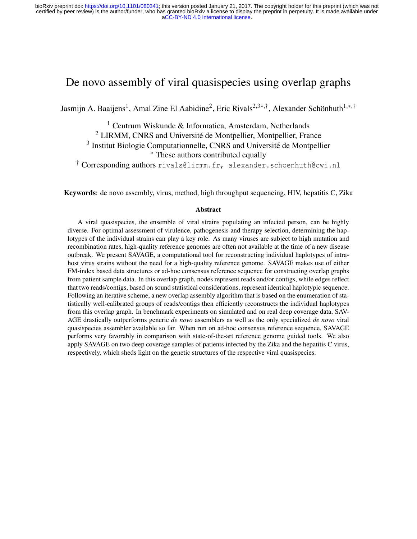# <span id="page-0-0"></span>De novo assembly of viral quasispecies using overlap graphs

Jasmijn A. Baaijens<sup>1</sup>, Amal Zine El Aabidine<sup>2</sup>, Eric Rivals<sup>2,3∗,†</sup>, Alexander Schönhuth<sup>1,∗,†</sup>

<sup>1</sup> Centrum Wiskunde & Informatica, Amsterdam, Netherlands <sup>2</sup> LIRMM, CNRS and Universite de Montpellier, Montpellier, France ´ <sup>3</sup> Institut Biologie Computationnelle, CNRS and Université de Montpellier <sup>∗</sup> These authors contributed equally

† Corresponding authors rivals@lirmm.fr, alexander.schoenhuth@cwi.nl

Keywords: de novo assembly, virus, method, high throughput sequencing, HIV, hepatitis C, Zika

#### Abstract

A viral quasispecies, the ensemble of viral strains populating an infected person, can be highly diverse. For optimal assessment of virulence, pathogenesis and therapy selection, determining the haplotypes of the individual strains can play a key role. As many viruses are subject to high mutation and recombination rates, high-quality reference genomes are often not available at the time of a new disease outbreak. We present SAVAGE, a computational tool for reconstructing individual haplotypes of intrahost virus strains without the need for a high-quality reference genome. SAVAGE makes use of either FM-index based data structures or ad-hoc consensus reference sequence for constructing overlap graphs from patient sample data. In this overlap graph, nodes represent reads and/or contigs, while edges reflect that two reads/contigs, based on sound statistical considerations, represent identical haplotypic sequence. Following an iterative scheme, a new overlap assembly algorithm that is based on the enumeration of statistically well-calibrated groups of reads/contigs then efficiently reconstructs the individual haplotypes from this overlap graph. In benchmark experiments on simulated and on real deep coverage data, SAV-AGE drastically outperforms generic *de novo* assemblers as well as the only specialized *de novo* viral quasispecies assembler available so far. When run on ad-hoc consensus reference sequence, SAVAGE performs very favorably in comparison with state-of-the-art reference genome guided tools. We also apply SAVAGE on two deep coverage samples of patients infected by the Zika and the hepatitis C virus, respectively, which sheds light on the genetic structures of the respective viral quasispecies.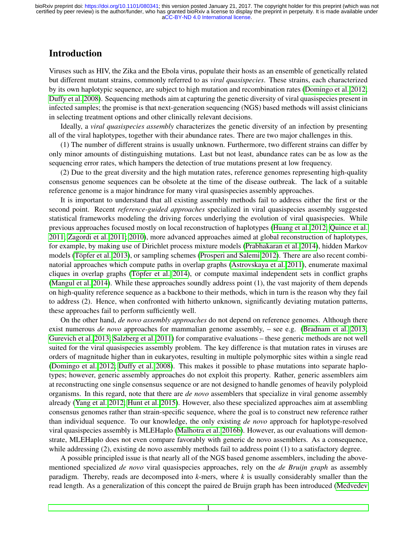# Introduction

Viruses such as HIV, the Zika and the Ebola virus, populate their hosts as an ensemble of genetically related but different mutant strains, commonly referred to as *viral quasispecies*. These strains, each characterized by its own haplotypic sequence, are subject to high mutation and recombination rates [\(Domingo et al. 2012;](#page-21-0) [Duffy et al. 2008\)](#page-21-1). Sequencing methods aim at capturing the genetic diversity of viral quasispecies present in infected samples; the promise is that next-generation sequencing (NGS) based methods will assist clinicians in selecting treatment options and other clinically relevant decisions.

Ideally, a *viral quasispecies assembly* characterizes the genetic diversity of an infection by presenting all of the viral haplotypes, together with their abundance rates. There are two major challenges in this.

(1) The number of different strains is usually unknown. Furthermore, two different strains can differ by only minor amounts of distinguishing mutations. Last but not least, abundance rates can be as low as the sequencing error rates, which hampers the detection of true mutations present at low frequency.

(2) Due to the great diversity and the high mutation rates, reference genomes representing high-quality consensus genome sequences can be obsolete at the time of the disease outbreak. The lack of a suitable reference genome is a major hindrance for many viral quasispecies assembly approaches.

It is important to understand that all existing assembly methods fail to address either the first or the second point. Recent *reference-guided approaches* specialized in viral quasispecies assembly suggested statistical frameworks modeling the driving forces underlying the evolution of viral quasispecies. While previous approaches focused mostly on local reconstruction of haplotypes [\(Huang et al. 2012;](#page-21-2) [Quince et al.](#page-21-3) [2011;](#page-21-3) [Zagordi et al. 2011;](#page-22-0) [2010\)](#page-22-1), more advanced approaches aimed at global reconstruction of haplotypes, for example, by making use of Dirichlet process mixture models [\(Prabhakaran et al. 2014\)](#page-21-4), hidden Markov models (Töpfer et al. 2013), or sampling schemes [\(Prosperi and Salemi 2012\)](#page-21-5). There are also recent combinatorial approaches which compute paths in overlap graphs [\(Astrovskaya et al. 2011\)](#page-21-6), enumerate maximal cliques in overlap graphs (Töpfer et al. 2014), or compute maximal independent sets in conflict graphs [\(Mangul et al. 2014\)](#page-21-8). While these approaches soundly address point (1), the vast majority of them depends on high-quality reference sequence as a backbone to their methods, which in turn is the reason why they fail to address (2). Hence, when confronted with hitherto unknown, significantly deviating mutation patterns, these approaches fail to perform sufficiently well.

On the other hand, *de novo assembly approaches* do not depend on reference genomes. Although there exist numerous *de novo* approaches for mammalian genome assembly, – see e.g. [\(Bradnam et al. 2013;](#page-21-9) [Gurevich et al. 2013;](#page-21-10) [Salzberg et al. 2011\)](#page-21-11) for comparative evaluations – these generic methods are not well suited for the viral quasispecies assembly problem. The key difference is that mutation rates in viruses are orders of magnitude higher than in eukaryotes, resulting in multiple polymorphic sites within a single read [\(Domingo et al. 2012;](#page-21-0) [Duffy et al. 2008\)](#page-21-1). This makes it possible to phase mutations into separate haplotypes; however, generic assembly approaches do not exploit this property. Rather, generic assemblers aim at reconstructing one single consensus sequence or are not designed to handle genomes of heavily polyploid organisms. In this regard, note that there are *de novo* assemblers that specialize in viral genome assembly already [\(Yang et al. 2012;](#page-22-3) [Hunt et al. 2015\)](#page-21-12). However, also these specialized approaches aim at assembling consensus genomes rather than strain-specific sequence, where the goal is to construct new reference rather than individual sequence. To our knowledge, the only existing *de novo* approach for haplotype-resolved viral quasispecies assembly is MLEHaplo [\(Malhotra et al. 2016b\)](#page-21-13). However, as our evaluations will demonstrate, MLEHaplo does not even compare favorably with generic de novo assemblers. As a consequence, while addressing (2), existing de novo assembly methods fail to address point (1) to a satisfactory degree.

A possible principled issue is that nearly all of the NGS based genome assemblers, including the abovementioned specialized *de novo* viral quasispecies approaches, rely on the *de Bruijn graph* as assembly paradigm. Thereby, reads are decomposed into *k*-mers, where *k* is usually considerably smaller than the read length. As a generalization of this concept the paired de Bruijn graph has been introduced [\(Medvedev](#page-21-14)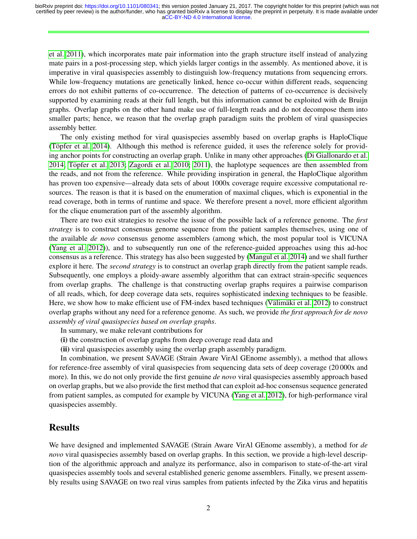[et al. 2011\)](#page-21-14), which incorporates mate pair information into the graph structure itself instead of analyzing mate pairs in a post-processing step, which yields larger contigs in the assembly. As mentioned above, it is imperative in viral quasispecies assembly to distinguish low-frequency mutations from sequencing errors. While low-frequency mutations are genetically linked, hence co-occur within different reads, sequencing errors do not exhibit patterns of co-occurrence. The detection of patterns of co-occurrence is decisively supported by examining reads at their full length, but this information cannot be exploited with de Bruijn graphs. Overlap graphs on the other hand make use of full-length reads and do not decompose them into smaller parts; hence, we reason that the overlap graph paradigm suits the problem of viral quasispecies assembly better.

The only existing method for viral quasispecies assembly based on overlap graphs is HaploClique (Töpfer et al. 2014). Although this method is reference guided, it uses the reference solely for providing anchor points for constructing an overlap graph. Unlike in many other approaches [\(Di Giallonardo et al.](#page-21-15) [2014;](#page-21-15) Töpfer et al. 2013; [Zagordi et al. 2010;](#page-22-1) [2011\)](#page-22-0), the haplotype sequences are then assembled from the reads, and not from the reference. While providing inspiration in general, the HaploClique algorithm has proven too expensive—already data sets of about 1000x coverage require excessive computational resources. The reason is that it is based on the enumeration of maximal cliques, which is exponential in the read coverage, both in terms of runtime and space. We therefore present a novel, more efficient algorithm for the clique enumeration part of the assembly algorithm.

There are two exit strategies to resolve the issue of the possible lack of a reference genome. The *first strategy* is to construct consensus genome sequence from the patient samples themselves, using one of the available *de novo* consensus genome assemblers (among which, the most popular tool is VICUNA [\(Yang et al. 2012\)](#page-22-3)), and to subsequently run one of the reference-guided approaches using this ad-hoc consensus as a reference. This strategy has also been suggested by [\(Mangul et al. 2014\)](#page-21-8) and we shall further explore it here. The *second strategy* is to construct an overlap graph directly from the patient sample reads. Subsequently, one employs a ploidy-aware assembly algorithm that can extract strain-specific sequences from overlap graphs. The challenge is that constructing overlap graphs requires a pairwise comparison of all reads, which, for deep coverage data sets, requires sophisticated indexing techniques to be feasible. Here, we show how to make efficient use of FM-index based techniques (Välimäki et al. 2012) to construct overlap graphs without any need for a reference genome. As such, we provide *the first approach for de novo assembly of viral quasispecies based on overlap graphs*.

- In summary, we make relevant contributions for
- (i) the construction of overlap graphs from deep coverage read data and
- (ii) viral quasispecies assembly using the overlap graph assembly paradigm.

In combination, we present SAVAGE (Strain Aware VirAl GEnome assembly), a method that allows for reference-free assembly of viral quasispecies from sequencing data sets of deep coverage (20 000x and more). In this, we do not only provide the first genuine *de novo* viral quasispecies assembly approach based on overlap graphs, but we also provide the first method that can exploit ad-hoc consensus sequence generated from patient samples, as computed for example by VICUNA [\(Yang et al. 2012\)](#page-22-3), for high-performance viral quasispecies assembly.

## Results

We have designed and implemented SAVAGE (Strain Aware VirAl GEnome assembly), a method for *de novo* viral quasispecies assembly based on overlap graphs. In this section, we provide a high-level description of the algorithmic approach and analyze its performance, also in comparison to state-of-the-art viral quasispecies assembly tools and several established generic genome assemblers. Finally, we present assembly results using SAVAGE on two real virus samples from patients infected by the Zika virus and hepatitis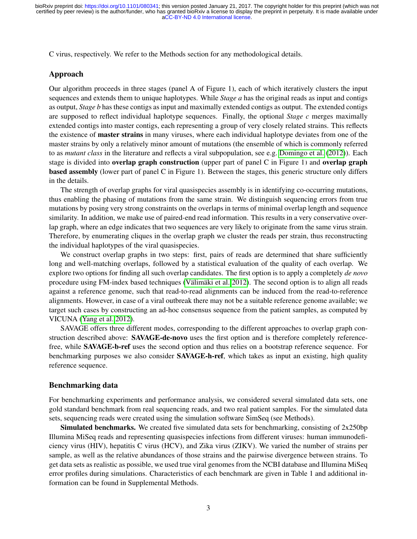C virus, respectively. We refer to the Methods section for any methodological details.

#### Approach

Our algorithm proceeds in three stages (panel A of Figure [1\)](#page-4-0), each of which iteratively clusters the input sequences and extends them to unique haplotypes. While *Stage a* has the original reads as input and contigs as output, *Stage b* has these contigs as input and maximally extended contigs as output. The extended contigs are supposed to reflect individual haplotype sequences. Finally, the optional *Stage c* merges maximally extended contigs into master contigs, each representing a group of very closely related strains. This reflects the existence of master strains in many viruses, where each individual haplotype deviates from one of the master strains by only a relatively minor amount of mutations (the ensemble of which is commonly referred to as *mutant class* in the literature and reflects a viral subpopulation, see e.g. [Domingo et al.](#page-21-0) [\(2012\)](#page-21-0)). Each stage is divided into overlap graph construction (upper part of panel C in Figure [1\)](#page-4-0) and overlap graph based assembly (lower part of panel C in Figure [1\)](#page-4-0). Between the stages, this generic structure only differs in the details.

The strength of overlap graphs for viral quasispecies assembly is in identifying co-occurring mutations, thus enabling the phasing of mutations from the same strain. We distinguish sequencing errors from true mutations by posing very strong constraints on the overlaps in terms of minimal overlap length and sequence similarity. In addition, we make use of paired-end read information. This results in a very conservative overlap graph, where an edge indicates that two sequences are very likely to originate from the same virus strain. Therefore, by enumerating cliques in the overlap graph we cluster the reads per strain, thus reconstructing the individual haplotypes of the viral quasispecies.

We construct overlap graphs in two steps: first, pairs of reads are determined that share sufficiently long and well-matching overlaps, followed by a statistical evaluation of the quality of each overlap. We explore two options for finding all such overlap candidates. The first option is to apply a completely *de novo* procedure using FM-index based techniques (Välimäki et al. 2012). The second option is to align all reads against a reference genome, such that read-to-read alignments can be induced from the read-to-reference alignments. However, in case of a viral outbreak there may not be a suitable reference genome available; we target such cases by constructing an ad-hoc consensus sequence from the patient samples, as computed by VICUNA [\(Yang et al. 2012\)](#page-22-3).

SAVAGE offers three different modes, corresponding to the different approaches to overlap graph construction described above: **SAVAGE-de-novo** uses the first option and is therefore completely referencefree, while SAVAGE-b-ref uses the second option and thus relies on a bootstrap reference sequence. For benchmarking purposes we also consider SAVAGE-h-ref, which takes as input an existing, high quality reference sequence.

### Benchmarking data

For benchmarking experiments and performance analysis, we considered several simulated data sets, one gold standard benchmark from real sequencing reads, and two real patient samples. For the simulated data sets, sequencing reads were created using the simulation software SimSeq (see Methods).

Simulated benchmarks. We created five simulated data sets for benchmarking, consisting of 2x250bp Illumina MiSeq reads and representing quasispecies infections from different viruses: human immunodeficiency virus (HIV), hepatitis C virus (HCV), and Zika virus (ZIKV). We varied the number of strains per sample, as well as the relative abundances of those strains and the pairwise divergence between strains. To get data sets as realistic as possible, we used true viral genomes from the NCBI database and Illumina MiSeq error profiles during simulations. Characteristics of each benchmark are given in Table [1](#page-5-0) and additional information can be found in Supplemental Methods.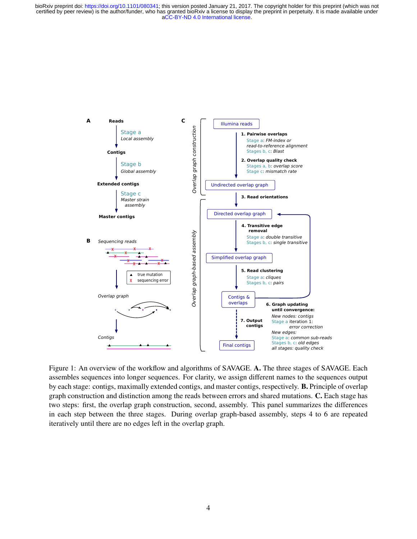<span id="page-4-0"></span>

Figure 1: An overview of the workflow and algorithms of SAVAGE. A. The three stages of SAVAGE. Each assembles sequences into longer sequences. For clarity, we assign different names to the sequences output by each stage: contigs, maximally extended contigs, and master contigs, respectively. B. Principle of overlap graph construction and distinction among the reads between errors and shared mutations. C. Each stage has two steps: first, the overlap graph construction, second, assembly. This panel summarizes the differences in each step between the three stages. During overlap graph-based assembly, steps 4 to 6 are repeated iteratively until there are no edges left in the overlap graph.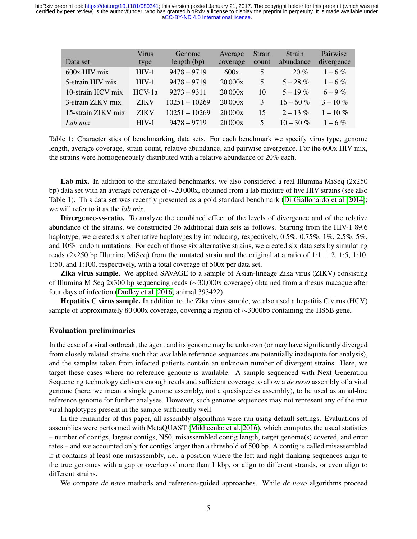<span id="page-5-0"></span>

| Data set           | <b>Virus</b><br>type | Genome<br>length $(bp)$ | Average<br>coverage | Strain<br>count | Strain<br>abundance | Pairwise<br>divergence |
|--------------------|----------------------|-------------------------|---------------------|-----------------|---------------------|------------------------|
| 600x HIV mix       | $HIV-1$              | $9478 - 9719$           | 600x                | 5               | 20%                 | $1 - 6\%$              |
| 5-strain HIV mix   | $HIV-1$              | $9478 - 9719$           | 20000x              | 5               | $5 - 28\%$          | $1 - 6\%$              |
| 10-strain HCV mix  | HCV-1a               | $9273 - 9311$           | 20000x              | 10              | $5 - 19\%$          | $6 - 9\%$              |
| 3-strain ZIKV mix  | <b>ZIKV</b>          | $10251 - 10269$         | 20000x              | 3               | $16 - 60\%$         | $3 - 10\%$             |
| 15-strain ZIKV mix | <b>ZIKV</b>          | $10251 - 10269$         | 20000x              | 15              | $2 - 13\%$          | $1 - 10\%$             |
| Lab mix            | $HIV-1$              | $9478 - 9719$           | 20000x              | 5               | $10 - 30\%$         | $1 - 6\%$              |

Table 1: Characteristics of benchmarking data sets. For each benchmark we specify virus type, genome length, average coverage, strain count, relative abundance, and pairwise divergence. For the 600x HIV mix, the strains were homogeneously distributed with a relative abundance of 20% each.

Lab mix. In addition to the simulated benchmarks, we also considered a real Illumina MiSeq  $(2x250)$ bp) data set with an average coverage of ∼20 000x, obtained from a lab mixture of five HIV strains (see also Table [1\)](#page-5-0). This data set was recently presented as a gold standard benchmark [\(Di Giallonardo et al. 2014\)](#page-21-15); we will refer to it as the *lab mix*.

Divergence-vs-ratio. To analyze the combined effect of the levels of divergence and of the relative abundance of the strains, we constructed 36 additional data sets as follows. Starting from the HIV-1 89.6 haplotype, we created six alternative haplotypes by introducing, respectively, 0.5%, 0.75%, 1%, 2.5%, 5%, and 10% random mutations. For each of those six alternative strains, we created six data sets by simulating reads  $(2x250$  bp Illumina MiSeq) from the mutated strain and the original at a ratio of 1:1, 1:2, 1:5, 1:10, 1:50, and 1:100, respectively, with a total coverage of 500x per data set.

Zika virus sample. We applied SAVAGE to a sample of Asian-lineage Zika virus (ZIKV) consisting of Illumina MiSeq 2x300 bp sequencing reads (∼30,000x coverage) obtained from a rhesus macaque after four days of infection [\(Dudley et al. 2016,](#page-21-16) animal 393422).

Hepatitis C virus sample. In addition to the Zika virus sample, we also used a hepatitis C virus (HCV) sample of approximately 80 000x coverage, covering a region of ∼3000bp containing the HS5B gene.

#### Evaluation preliminaries

In the case of a viral outbreak, the agent and its genome may be unknown (or may have significantly diverged from closely related strains such that available reference sequences are potentially inadequate for analysis), and the samples taken from infected patients contain an unknown number of divergent strains. Here, we target these cases where no reference genome is available. A sample sequenced with Next Generation Sequencing technology delivers enough reads and sufficient coverage to allow a *de novo* assembly of a viral genome (here, we mean a single genome assembly, not a quasispecies assembly), to be used as an ad-hoc reference genome for further analyses. However, such genome sequences may not represent any of the true viral haplotypes present in the sample sufficiently well.

In the remainder of this paper, all assembly algorithms were run using default settings. Evaluations of assemblies were performed with MetaQUAST [\(Mikheenko et al. 2016\)](#page-21-17), which computes the usual statistics – number of contigs, largest contigs, N50, misassembled contig length, target genome(s) covered, and error rates – and we accounted only for contigs larger than a threshold of 500 bp. A contig is called misassembled if it contains at least one misassembly, i.e., a position where the left and right flanking sequences align to the true genomes with a gap or overlap of more than 1 kbp, or align to different strands, or even align to different strains.

We compare *de novo* methods and reference-guided approaches. While *de novo* algorithms proceed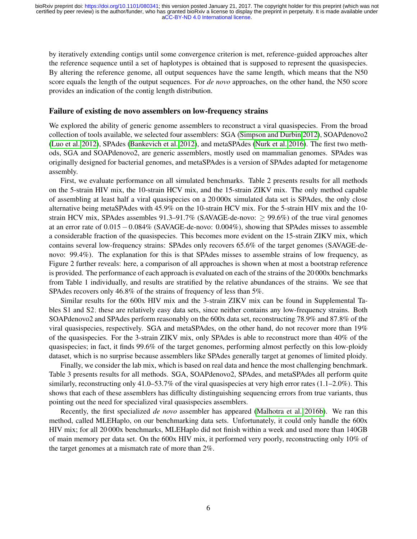by iteratively extending contigs until some convergence criterion is met, reference-guided approaches alter the reference sequence until a set of haplotypes is obtained that is supposed to represent the quasispecies. By altering the reference genome, all output sequences have the same length, which means that the N50 score equals the length of the output sequences. For *de novo* approaches, on the other hand, the N50 score provides an indication of the contig length distribution.

#### Failure of existing de novo assemblers on low-frequency strains

We explored the ability of generic genome assemblers to reconstruct a viral quasispecies. From the broad collection of tools available, we selected four assemblers: SGA [\(Simpson and Durbin 2012\)](#page-21-18), SOAPdenovo2 [\(Luo et al. 2012\)](#page-21-19), SPAdes [\(Bankevich et al. 2012\)](#page-21-20), and metaSPAdes [\(Nurk et al. 2016\)](#page-21-21). The first two methods, SGA and SOAPdenovo2, are generic assemblers, mostly used on mammalian genomes. SPAdes was originally designed for bacterial genomes, and metaSPAdes is a version of SPAdes adapted for metagenome assembly.

First, we evaluate performance on all simulated benchmarks. Table [2](#page-8-0) presents results for all methods on the 5-strain HIV mix, the 10-strain HCV mix, and the 15-strain ZIKV mix. The only method capable of assembling at least half a viral quasispecies on a 20 000x simulated data set is SPAdes, the only close alternative being metaSPAdes with 45.9% on the 10-strain HCV mix. For the 5-strain HIV mix and the 10 strain HCV mix, SPAdes assembles  $91.3-91.7\%$  (SAVAGE-de-novo:  $> 99.6\%$ ) of the true viral genomes at an error rate of 0.015−0.084% (SAVAGE-de-novo: 0.004%), showing that SPAdes misses to assemble a considerable fraction of the quasispecies. This becomes more evident on the 15-strain ZIKV mix, which contains several low-frequency strains: SPAdes only recovers 65.6% of the target genomes (SAVAGE-denovo: 99.4%). The explanation for this is that SPAdes misses to assemble strains of low frequency, as Figure [2](#page-9-0) further reveals: here, a comparison of all approaches is shown when at most a bootstrap reference is provided. The performance of each approach is evaluated on each of the strains of the 20 000x benchmarks from Table [1](#page-5-0) individually, and results are stratified by the relative abundances of the strains. We see that SPAdes recovers only 46.8% of the strains of frequency of less than 5%.

Similar results for the 600x HIV mix and the 3-strain ZIKV mix can be found in Supplemental Tables [S1](#page-0-0) and [S2;](#page-0-0) these are relatively easy data sets, since neither contains any low-frequency strains. Both SOAPdenovo2 and SPAdes perform reasonably on the 600x data set, reconstructing 78.9% and 87.8% of the viral quasispecies, respectively. SGA and metaSPAdes, on the other hand, do not recover more than 19% of the quasispecies. For the 3-strain ZIKV mix, only SPAdes is able to reconstruct more than 40% of the quasispecies; in fact, it finds 99.6% of the target genomes, performing almost perfectly on this low-ploidy dataset, which is no surprise because assemblers like SPAdes generally target at genomes of limited ploidy.

Finally, we consider the lab mix, which is based on real data and hence the most challenging benchmark. Table [3](#page-9-1) presents results for all methods. SGA, SOAPdenovo2, SPAdes, and metaSPAdes all perform quite similarly, reconstructing only 41.0–53.7% of the viral quasispecies at very high error rates (1.1–2.0%). This shows that each of these assemblers has difficulty distinguishing sequencing errors from true variants, thus pointing out the need for specialized viral quasispecies assemblers.

Recently, the first specialized *de novo* assembler has appeared [\(Malhotra et al. 2016b\)](#page-21-13). We ran this method, called MLEHaplo, on our benchmarking data sets. Unfortunately, it could only handle the 600x HIV mix; for all 20 000x benchmarks, MLEHaplo did not finish within a week and used more than 140GB of main memory per data set. On the 600x HIV mix, it performed very poorly, reconstructing only 10% of the target genomes at a mismatch rate of more than 2%.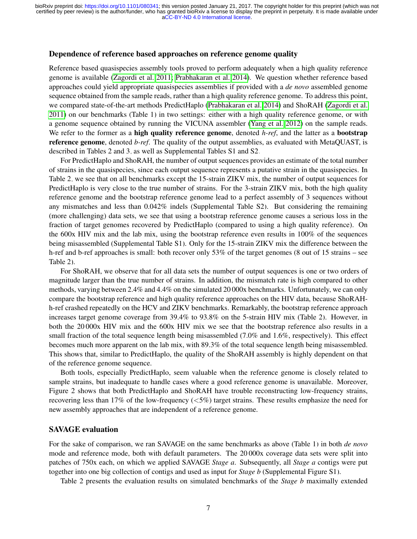### Dependence of reference based approaches on reference genome quality

Reference based quasispecies assembly tools proved to perform adequately when a high quality reference genome is available [\(Zagordi et al. 2011;](#page-22-0) [Prabhakaran et al. 2014\)](#page-21-4). We question whether reference based approaches could yield appropriate quasispecies assemblies if provided with a *de novo* assembled genome sequence obtained from the sample reads, rather than a high quality reference genome. To address this point, we compared state-of-the-art methods PredictHaplo [\(Prabhakaran et al. 2014\)](#page-21-4) and ShoRAH [\(Zagordi et al.](#page-22-0) [2011\)](#page-22-0) on our benchmarks (Table [1\)](#page-5-0) in two settings: either with a high quality reference genome, or with a genome sequence obtained by running the VICUNA assembler [\(Yang et al. 2012\)](#page-22-3) on the sample reads. We refer to the former as a **high quality reference genome**, denoted *h-ref*, and the latter as a **bootstrap** reference genome, denoted *b-ref*. The quality of the output assemblies, as evaluated with MetaQUAST, is described in Tables [2](#page-8-0) and [3,](#page-9-1) as well as Supplemental Tables [S1](#page-0-0) and [S2.](#page-0-0)

For PredictHaplo and ShoRAH, the number of output sequences provides an estimate of the total number of strains in the quasispecies, since each output sequence represents a putative strain in the quasispecies. In Table [2,](#page-8-0) we see that on all benchmarks except the 15-strain ZIKV mix, the number of output sequences for PredictHaplo is very close to the true number of strains. For the 3-strain ZIKV mix, both the high quality reference genome and the bootstrap reference genome lead to a perfect assembly of 3 sequences without any mismatches and less than 0.042% indels (Supplemental Table [S2\)](#page-0-0). But considering the remaining (more challenging) data sets, we see that using a bootstrap reference genome causes a serious loss in the fraction of target genomes recovered by PredictHaplo (compared to using a high quality reference). On the 600x HIV mix and the lab mix, using the bootstrap reference even results in 100% of the sequences being misassembled (Supplemental Table [S1\)](#page-0-0). Only for the 15-strain ZIKV mix the difference between the h-ref and b-ref approaches is small: both recover only 53% of the target genomes (8 out of 15 strains – see Table [2\)](#page-8-0).

For ShoRAH, we observe that for all data sets the number of output sequences is one or two orders of magnitude larger than the true number of strains. In addition, the mismatch rate is high compared to other methods, varying between 2.4% and 4.4% on the simulated 20 000x benchmarks. Unfortunately, we can only compare the bootstrap reference and high quality reference approaches on the HIV data, because ShoRAHh-ref crashed repeatedly on the HCV and ZIKV benchmarks. Remarkably, the bootstrap reference approach increases target genome coverage from 39.4% to 93.8% on the 5-strain HIV mix (Table [2\)](#page-8-0). However, in both the 20 000x HIV mix and the 600x HIV mix we see that the bootstrap reference also results in a small fraction of the total sequence length being misassembled (7.0% and 1.6%, respectively). This effect becomes much more apparent on the lab mix, with 89.3% of the total sequence length being misassembled. This shows that, similar to PredictHaplo, the quality of the ShoRAH assembly is highly dependent on that of the reference genome sequence.

Both tools, especially PredictHaplo, seem valuable when the reference genome is closely related to sample strains, but inadequate to handle cases where a good reference genome is unavailable. Moreover, Figure [2](#page-9-0) shows that both PredictHaplo and ShoRAH have trouble reconstructing low-frequency strains, recovering less than 17% of the low-frequency  $\langle 5\% \rangle$  target strains. These results emphasize the need for new assembly approaches that are independent of a reference genome.

#### SAVAGE evaluation

For the sake of comparison, we ran SAVAGE on the same benchmarks as above (Table [1\)](#page-5-0) in both *de novo* mode and reference mode, both with default parameters. The 20 000x coverage data sets were split into patches of 750x each, on which we applied SAVAGE *Stage a*. Subsequently, all *Stage a* contigs were put together into one big collection of contigs and used as input for *Stage b* (Supplemental Figure [S1\)](#page-0-0).

Table [2](#page-8-0) presents the evaluation results on simulated benchmarks of the *Stage b* maximally extended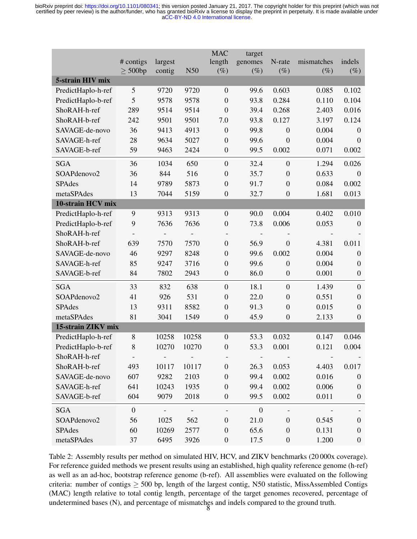<span id="page-8-0"></span>

|                    |                           |                          |                | <b>MAC</b>       | target                   |                  |                      |                  |
|--------------------|---------------------------|--------------------------|----------------|------------------|--------------------------|------------------|----------------------|------------------|
|                    | # contigs<br>$\geq 500bp$ | largest<br>contig        | N50            | length<br>$(\%)$ | genomes<br>$(\%)$        | N-rate<br>$(\%)$ | mismatches<br>$(\%)$ | indels<br>$(\%)$ |
| 5-strain HIV mix   |                           |                          |                |                  |                          |                  |                      |                  |
| PredictHaplo-h-ref | 5                         | 9720                     | 9720           | $\mathbf{0}$     | 99.6                     | 0.603            | 0.085                | 0.102            |
| PredictHaplo-b-ref | 5                         | 9578                     | 9578           | $\overline{0}$   | 93.8                     | 0.284            | 0.110                | 0.104            |
| ShoRAH-h-ref       | 289                       | 9514                     | 9514           | $\overline{0}$   | 39.4                     | 0.268            | 2.403                | 0.016            |
| ShoRAH-b-ref       | 242                       | 9501                     | 9501           | 7.0              | 93.8                     | 0.127            | 3.197                | 0.124            |
| SAVAGE-de-novo     | 36                        | 9413                     | 4913           | $\boldsymbol{0}$ | 99.8                     | $\boldsymbol{0}$ | 0.004                | $\boldsymbol{0}$ |
| SAVAGE-h-ref       | 28                        | 9634                     | 5027           | $\boldsymbol{0}$ | 99.6                     | $\overline{0}$   | 0.004                | $\overline{0}$   |
| SAVAGE-b-ref       | 59                        | 9463                     | 2424           | $\boldsymbol{0}$ | 99.5                     | 0.002            | 0.071                | 0.002            |
| <b>SGA</b>         | 36                        | 1034                     | 650            | $\overline{0}$   | 32.4                     | $\mathbf{0}$     | 1.294                | 0.026            |
| SOAPdenovo2        | 36                        | 844                      | 516            | $\boldsymbol{0}$ | 35.7                     | $\boldsymbol{0}$ | 0.633                | $\theta$         |
| <b>SPAdes</b>      | 14                        | 9789                     | 5873           | $\boldsymbol{0}$ | 91.7                     | $\boldsymbol{0}$ | 0.084                | 0.002            |
| metaSPAdes         | 13                        | 7044                     | 5159           | $\boldsymbol{0}$ | 32.7                     | $\boldsymbol{0}$ | 1.681                | 0.013            |
| 10-strain HCV mix  |                           |                          |                |                  |                          |                  |                      |                  |
| PredictHaplo-h-ref | 9                         | 9313                     | 9313           | $\overline{0}$   | 90.0                     | 0.004            | 0.402                | 0.010            |
| PredictHaplo-b-ref | 9                         | 7636                     | 7636           | $\boldsymbol{0}$ | 73.8                     | 0.006            | 0.053                | $\overline{0}$   |
| ShoRAH-h-ref       |                           |                          | $\overline{a}$ |                  | $\overline{\phantom{0}}$ |                  |                      |                  |
| ShoRAH-b-ref       | 639                       | 7570                     | 7570           | $\boldsymbol{0}$ | 56.9                     | $\boldsymbol{0}$ | 4.381                | 0.011            |
| SAVAGE-de-novo     | 46                        | 9297                     | 8248           | $\boldsymbol{0}$ | 99.6                     | 0.002            | 0.004                | $\overline{0}$   |
| SAVAGE-h-ref       | 85                        | 9247                     | 3716           | $\boldsymbol{0}$ | 99.6                     | $\mathbf{0}$     | 0.004                | $\overline{0}$   |
| SAVAGE-b-ref       | 84                        | 7802                     | 2943           | $\boldsymbol{0}$ | 86.0                     | $\boldsymbol{0}$ | 0.001                | $\boldsymbol{0}$ |
| <b>SGA</b>         | 33                        | 832                      | 638            | $\overline{0}$   | 18.1                     | $\boldsymbol{0}$ | 1.439                | $\overline{0}$   |
| SOAPdenovo2        | 41                        | 926                      | 531            | $\boldsymbol{0}$ | 22.0                     | $\boldsymbol{0}$ | 0.551                | $\overline{0}$   |
| <b>SPAdes</b>      | 13                        | 9311                     | 8582           | $\boldsymbol{0}$ | 91.3                     | $\boldsymbol{0}$ | 0.015                | $\boldsymbol{0}$ |
| metaSPAdes         | 81                        | 3041                     | 1549           | $\boldsymbol{0}$ | 45.9                     | $\boldsymbol{0}$ | 2.133                | $\boldsymbol{0}$ |
| 15-strain ZIKV mix |                           |                          |                |                  |                          |                  |                      |                  |
| PredictHaplo-h-ref | 8                         | 10258                    | 10258          | $\mathbf{0}$     | 53.3                     | 0.032            | 0.147                | 0.046            |
| PredictHaplo-b-ref | 8                         | 10270                    | 10270          | $\boldsymbol{0}$ | 53.3                     | 0.001            | 0.121                | 0.004            |
| ShoRAH-h-ref       | ۰.                        | $\overline{\phantom{a}}$ |                |                  |                          |                  |                      |                  |
| ShoRAH-b-ref       | 493                       | 10117                    | 10117          | $\boldsymbol{0}$ | 26.3                     | 0.053            | 4.403                | 0.017            |
| SAVAGE-de-novo     | 607                       | 9282                     | 2103           | $\boldsymbol{0}$ | 99.4                     | 0.002            | 0.016                | $\boldsymbol{0}$ |
| SAVAGE-h-ref       | 641                       | 10243                    | 1935           | $\boldsymbol{0}$ | 99.4                     | 0.002            | 0.006                | $\boldsymbol{0}$ |
| SAVAGE-b-ref       | 604                       | 9079                     | 2018           | $\boldsymbol{0}$ | 99.5                     | 0.002            | 0.011                | $\boldsymbol{0}$ |
| <b>SGA</b>         | $\overline{0}$            | $\blacksquare$           | $\blacksquare$ |                  | $\boldsymbol{0}$         |                  |                      |                  |
| SOAPdenovo2        | 56                        | 1025                     | 562            | $\boldsymbol{0}$ | 21.0                     | $\boldsymbol{0}$ | 0.545                | $\boldsymbol{0}$ |
| <b>SPAdes</b>      | 60                        | 10269                    | 2577           | $\boldsymbol{0}$ | 65.6                     | $\boldsymbol{0}$ | 0.131                | $\boldsymbol{0}$ |
| metaSPAdes         | 37                        | 6495                     | 3926           | $\boldsymbol{0}$ | 17.5                     | $\boldsymbol{0}$ | 1.200                | $\boldsymbol{0}$ |

Table 2: Assembly results per method on simulated HIV, HCV, and ZIKV benchmarks (20 000x coverage). For reference guided methods we present results using an established, high quality reference genome (h-ref) as well as an ad-hoc, bootstrap reference genome (b-ref). All assemblies were evaluated on the following criteria: number of contigs  $> 500$  bp, length of the largest contig, N50 statistic, MissAssembled Contigs (MAC) length relative to total contig length, percentage of the target genomes recovered, percentage of undetermined bases (N), and percentage of mismatches and indels compared to the ground truth. 8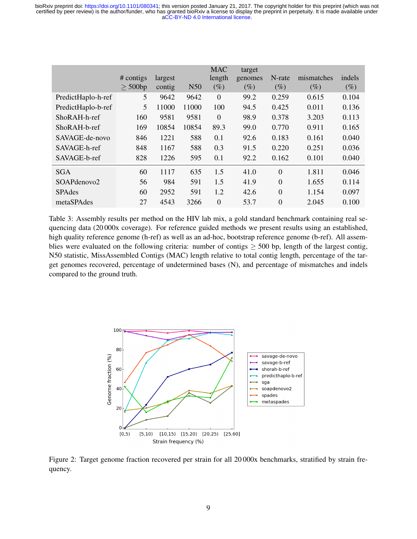<span id="page-9-1"></span>

|                    | # contigs<br>$>$ 500bp | largest<br>contig | N <sub>50</sub> | <b>MAC</b><br>length<br>$(\%)$ | target<br>genomes<br>$(\%)$ | N-rate<br>$(\%)$ | mismatches<br>$(\%)$ | indels<br>$(\%)$ |
|--------------------|------------------------|-------------------|-----------------|--------------------------------|-----------------------------|------------------|----------------------|------------------|
| PredictHaplo-h-ref | 5                      | 9642              | 9642            | $\theta$                       | 99.2                        | 0.259            | 0.615                | 0.104            |
| PredictHaplo-b-ref | 5                      | 11000             | 11000           | 100                            | 94.5                        | 0.425            | 0.011                | 0.136            |
| ShoRAH-h-ref       | 160                    | 9581              | 9581            | $\overline{0}$                 | 98.9                        | 0.378            | 3.203                | 0.113            |
| $ShoRAH-b-ref$     | 169                    | 10854             | 10854           | 89.3                           | 99.0                        | 0.770            | 0.911                | 0.165            |
| SAVAGE-de-novo     | 846                    | 1221              | 588             | 0.1                            | 92.6                        | 0.183            | 0.161                | 0.040            |
| SAVAGE-h-ref       | 848                    | 1167              | 588             | 0.3                            | 91.5                        | 0.220            | 0.251                | 0.036            |
| SAVAGE-b-ref       | 828                    | 1226              | 595             | 0.1                            | 92.2                        | 0.162            | 0.101                | 0.040            |
| <b>SGA</b>         | 60                     | 1117              | 635             | 1.5                            | 41.0                        | $\theta$         | 1.811                | 0.046            |
| SOAPdenovo2        | 56                     | 984               | 591             | 1.5                            | 41.9                        | $\theta$         | 1.655                | 0.114            |
| <b>SPAdes</b>      | 60                     | 2952              | 591             | 1.2                            | 42.6                        | $\theta$         | 1.154                | 0.097            |
| metaSPAdes         | 27                     | 4543              | 3266            | $\Omega$                       | 53.7                        | $\theta$         | 2.045                | 0.100            |

Table 3: Assembly results per method on the HIV lab mix, a gold standard benchmark containing real sequencing data (20 000x coverage). For reference guided methods we present results using an established, high quality reference genome (h-ref) as well as an ad-hoc, bootstrap reference genome (b-ref). All assemblies were evaluated on the following criteria: number of contigs  $\geq$  500 bp, length of the largest contig, N50 statistic, MissAssembled Contigs (MAC) length relative to total contig length, percentage of the target genomes recovered, percentage of undetermined bases (N), and percentage of mismatches and indels compared to the ground truth.

<span id="page-9-0"></span>

Figure 2: Target genome fraction recovered per strain for all 20 000x benchmarks, stratified by strain frequency.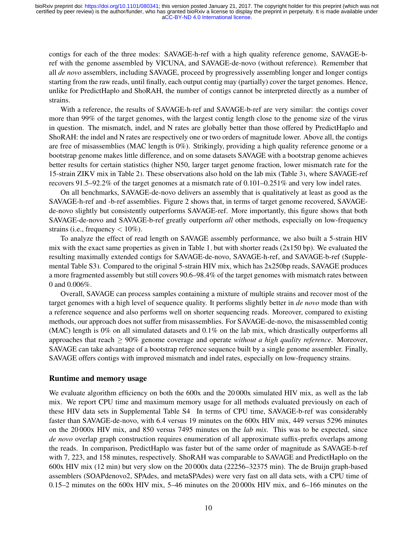contigs for each of the three modes: SAVAGE-h-ref with a high quality reference genome, SAVAGE-bref with the genome assembled by VICUNA, and SAVAGE-de-novo (without reference). Remember that all *de novo* assemblers, including SAVAGE, proceed by progressively assembling longer and longer contigs starting from the raw reads, until finally, each output contig may (partially) cover the target genomes. Hence, unlike for PredictHaplo and ShoRAH, the number of contigs cannot be interpreted directly as a number of strains.

With a reference, the results of SAVAGE-h-ref and SAVAGE-b-ref are very similar: the contigs cover more than 99% of the target genomes, with the largest contig length close to the genome size of the virus in question. The mismatch, indel, and N rates are globally better than those offered by PredictHaplo and ShoRAH: the indel and N rates are respectively one or two orders of magnitude lower. Above all, the contigs are free of misassemblies (MAC length is 0%). Strikingly, providing a high quality reference genome or a bootstrap genome makes little difference, and on some datasets SAVAGE with a bootstrap genome achieves better results for certain statistics (higher N50, larger target genome fraction, lower mismatch rate for the 15-strain ZIKV mix in Table [2\)](#page-8-0). These observations also hold on the lab mix (Table [3\)](#page-9-1), where SAVAGE-ref recovers 91.5–92.2% of the target genomes at a mismatch rate of 0.101–0.251% and very low indel rates.

On all benchmarks, SAVAGE-de-novo delivers an assembly that is qualitatively at least as good as the SAVAGE-h-ref and -b-ref assemblies. Figure [2](#page-9-0) shows that, in terms of target genome recovered, SAVAGEde-novo slightly but consistently outperforms SAVAGE-ref. More importantly, this figure shows that both SAVAGE-de-novo and SAVAGE-b-ref greatly outperform *all* other methods, especially on low-frequency strains (i.e., frequency  $< 10\%$ ).

To analyze the effect of read length on SAVAGE assembly performance, we also built a 5-strain HIV mix with the exact same properties as given in Table [1,](#page-5-0) but with shorter reads  $(2x150$  bp). We evaluated the resulting maximally extended contigs for SAVAGE-de-novo, SAVAGE-h-ref, and SAVAGE-b-ref (Supplemental Table [S3\)](#page-0-0). Compared to the original 5-strain HIV mix, which has 2x250bp reads, SAVAGE produces a more fragmented assembly but still covers 90.6–98.4% of the target genomes with mismatch rates between 0 and 0.006%.

Overall, SAVAGE can process samples containing a mixture of multiple strains and recover most of the target genomes with a high level of sequence quality. It performs slightly better in *de novo* mode than with a reference sequence and also performs well on shorter sequencing reads. Moreover, compared to existing methods, our approach does not suffer from misassemblies. For SAVAGE-de-novo, the misassembled contig (MAC) length is 0% on all simulated datasets and 0.1% on the lab mix, which drastically outperforms all approaches that reach ≥ 90% genome coverage and operate *without a high quality reference*. Moreover, SAVAGE can take advantage of a bootstrap reference sequence built by a single genome assembler. Finally, SAVAGE offers contigs with improved mismatch and indel rates, especially on low-frequency strains.

### Runtime and memory usage

We evaluate algorithm efficiency on both the 600x and the 20 000x simulated HIV mix, as well as the lab mix. We report CPU time and maximum memory usage for all methods evaluated previously on each of these HIV data sets in Supplemental Table [S4.](#page-0-0) In terms of CPU time, SAVAGE-b-ref was considerably faster than SAVAGE-de-novo, with 6.4 versus 19 minutes on the 600x HIV mix, 449 versus 5296 minutes on the 20 000x HIV mix, and 850 versus 7495 minutes on the *lab mix*. This was to be expected, since *de novo* overlap graph construction requires enumeration of all approximate suffix-prefix overlaps among the reads. In comparison, PredictHaplo was faster but of the same order of magnitude as SAVAGE-b-ref with 7, 223, and 158 minutes, respectively. ShoRAH was comparable to SAVAGE and PredictHaplo on the 600x HIV mix (12 min) but very slow on the 20 000x data (22256–32375 min). The de Bruijn graph-based assemblers (SOAPdenovo2, SPAdes, and metaSPAdes) were very fast on all data sets, with a CPU time of 0.15–2 minutes on the 600x HIV mix, 5–46 minutes on the 20 000x HIV mix, and 6–166 minutes on the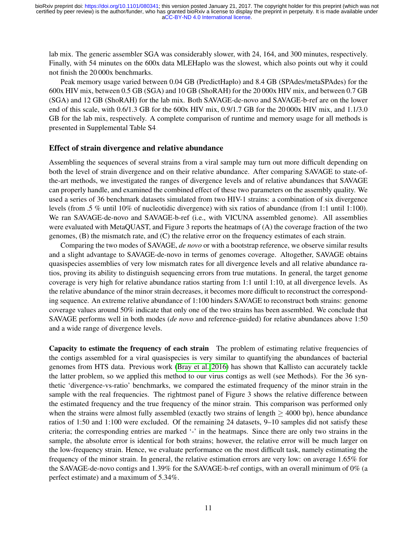lab mix. The generic assembler SGA was considerably slower, with 24, 164, and 300 minutes, respectively. Finally, with 54 minutes on the 600x data MLEHaplo was the slowest, which also points out why it could not finish the 20 000x benchmarks.

Peak memory usage varied between 0.04 GB (PredictHaplo) and 8.4 GB (SPAdes/metaSPAdes) for the 600x HIV mix, between 0.5 GB (SGA) and 10 GB (ShoRAH) for the 20 000x HIV mix, and between 0.7 GB (SGA) and 12 GB (ShoRAH) for the lab mix. Both SAVAGE-de-novo and SAVAGE-b-ref are on the lower end of this scale, with 0.6/1.3 GB for the 600x HIV mix, 0.9/1.7 GB for the 20 000x HIV mix, and 1.1/3.0 GB for the lab mix, respectively. A complete comparison of runtime and memory usage for all methods is presented in Supplemental Table [S4.](#page-0-0)

#### Effect of strain divergence and relative abundance

Assembling the sequences of several strains from a viral sample may turn out more difficult depending on both the level of strain divergence and on their relative abundance. After comparing SAVAGE to state-ofthe-art methods, we investigated the ranges of divergence levels and of relative abundances that SAVAGE can properly handle, and examined the combined effect of these two parameters on the assembly quality. We used a series of 36 benchmark datasets simulated from two HIV-1 strains: a combination of six divergence levels (from .5 % until 10% of nucleotidic divergence) with six ratios of abundance (from 1:1 until 1:100). We ran SAVAGE-de-novo and SAVAGE-b-ref (i.e., with VICUNA assembled genome). All assemblies were evaluated with MetaQUAST, and Figure [3](#page-12-0) reports the heatmaps of (A) the coverage fraction of the two genomes, (B) the mismatch rate, and (C) the relative error on the frequency estimates of each strain.

Comparing the two modes of SAVAGE, *de novo* or with a bootstrap reference, we observe similar results and a slight advantage to SAVAGE-de-novo in terms of genomes coverage. Altogether, SAVAGE obtains quasispecies assemblies of very low mismatch rates for all divergence levels and all relative abundance ratios, proving its ability to distinguish sequencing errors from true mutations. In general, the target genome coverage is very high for relative abundance ratios starting from 1:1 until 1:10, at all divergence levels. As the relative abundance of the minor strain decreases, it becomes more difficult to reconstruct the corresponding sequence. An extreme relative abundance of 1:100 hinders SAVAGE to reconstruct both strains: genome coverage values around 50% indicate that only one of the two strains has been assembled. We conclude that SAVAGE performs well in both modes (*de novo* and reference-guided) for relative abundances above 1:50 and a wide range of divergence levels.

Capacity to estimate the frequency of each strain The problem of estimating relative frequencies of the contigs assembled for a viral quasispecies is very similar to quantifying the abundances of bacterial genomes from HTS data. Previous work [\(Bray et al. 2016\)](#page-21-22) has shown that Kallisto can accurately tackle the latter problem, so we applied this method to our virus contigs as well (see Methods). For the 36 synthetic 'divergence-vs-ratio' benchmarks, we compared the estimated frequency of the minor strain in the sample with the real frequencies. The rightmost panel of Figure [3](#page-12-0) shows the relative difference between the estimated frequency and the true frequency of the minor strain. This comparison was performed only when the strains were almost fully assembled (exactly two strains of length  $>$  4000 bp), hence abundance ratios of 1:50 and 1:100 were excluded. Of the remaining 24 datasets, 9–10 samples did not satisfy these criteria; the corresponding entries are marked '-' in the heatmaps. Since there are only two strains in the sample, the absolute error is identical for both strains; however, the relative error will be much larger on the low-frequency strain. Hence, we evaluate performance on the most difficult task, namely estimating the frequency of the minor strain. In general, the relative estimation errors are very low: on average 1.65% for the SAVAGE-de-novo contigs and 1.39% for the SAVAGE-b-ref contigs, with an overall minimum of 0% (a perfect estimate) and a maximum of 5.34%.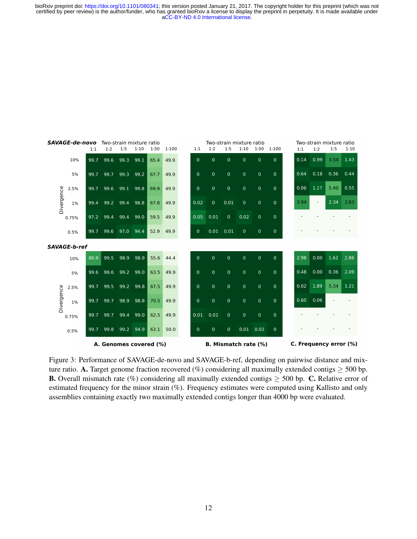<span id="page-12-0"></span>

| <b>SAVAGE-de-novo</b><br>Two-strain mixture ratio |                     |      |                        |      |      | Two-strain mixture ratio |       |  |                             |                |                |                |                | Two-strain mixture ratio |  |                        |      |      |      |
|---------------------------------------------------|---------------------|------|------------------------|------|------|--------------------------|-------|--|-----------------------------|----------------|----------------|----------------|----------------|--------------------------|--|------------------------|------|------|------|
|                                                   |                     | 1:1  | 1:2                    | 1:5  | 1:10 | 1:50                     | 1:100 |  | 1:1                         | 1:2            | 1:5            | 1:10           | 1:50           | 1:100                    |  | 1:1                    | 1:2  | 1:5  | 1:10 |
|                                                   | 10%                 | 99.7 | 99.6                   | 99.3 | 99.1 | 65.4                     | 49.9  |  | $\mathbf{0}$                | $\mathbf 0$    | $\overline{0}$ | $\overline{0}$ | $\Omega$       | $\Omega$                 |  | 0.14                   | 0.99 | 3.54 | 1.43 |
|                                                   | 5%                  | 99.7 | 99.7                   | 99.3 | 99.2 | 67.7                     | 49.9  |  | $\mathbf{0}$                | $\overline{0}$ | $\overline{0}$ | $\mathbf 0$    | $\mathbf{0}$   | $\overline{0}$           |  | 0.64                   | 0.18 | 0.36 | 0.44 |
|                                                   | 2.5%                | 99.7 | 99.6                   | 99.1 | 99.8 | 69.9                     | 49.9  |  | $\Omega$                    | $\overline{0}$ | $\overline{0}$ | $\mathbf{0}$   | $\mathbf{0}$   | $\overline{0}$           |  | 0.06                   | 1.17 | 5.40 | 0.55 |
| Divergence                                        | 1%                  | 99.4 | 99.2                   | 99.4 | 98.8 | 67.8                     | 49.9  |  | 0.02                        | $\mathbf 0$    | 0.01           | $\mathbf 0$    | $\overline{0}$ | $\pmb{0}$                |  | 3.94                   |      | 2.34 | 3.63 |
|                                                   | 0.75%               | 97.2 | 99.4                   | 99.4 | 99.0 | 59.5                     | 49.9  |  | 0.05                        | 0.01           | $\mathbf{0}$   | 0.02           | $\mathbf{0}$   | $\mathbf 0$              |  |                        |      |      |      |
|                                                   | 0.5%                | 99.7 | 99.6                   | 97.0 | 94.4 | 52.9                     | 49.9  |  | $\mathbf{0}$                | $0.01$ $0.01$  |                | $\mathbf{0}$   | $\mathbf{0}$   | $\overline{0}$           |  |                        |      |      |      |
|                                                   | <b>SAVAGE-b-ref</b> |      |                        |      |      |                          |       |  |                             |                |                |                |                |                          |  |                        |      |      |      |
|                                                   | 10%                 | 80.9 | 99.5                   | 98.9 | 98.9 | 55.6                     | 44.4  |  | $\overline{0}$              | $\mathbf{0}$   | $\pmb{0}$      | $\mathbf{0}$   | $\mathbf{0}$   | $\mathbf{0}$             |  | 2.98                   | 0.00 | 1.62 | 2.86 |
|                                                   | 5%                  | 99.6 | 99.6                   | 99.2 | 99.0 | 63.5                     | 49.9  |  | $\Omega$                    | $\overline{0}$ | $\mathbf 0$    | $\mathbf 0$    | $\mathbf{0}$   | $\overline{0}$           |  | 0.48                   | 0.00 | 0.36 | 2.09 |
| Divergence                                        | 2.5%                | 99.7 | 99.5                   | 99.2 | 99.8 | 67.5                     | 49.9  |  | $\mathbf{0}$                | $\overline{0}$ | $\pmb{0}$      | $\mathbf 0$    | $\overline{0}$ | $\mathbf 0$              |  | 0.02                   | 1.89 | 5.34 | 1.21 |
|                                                   | 1%                  | 99.7 | 99.7                   | 98.9 | 98.8 | 70.5                     | 49.9  |  | $\Omega$                    | $\mathbf{0}$   | $\mathbf 0$    | $\Omega$       | $\overline{0}$ | $\Omega$                 |  | 0.60                   | 0.06 |      |      |
|                                                   | 0.75%               | 99.7 | 99.7                   | 99.4 | 99.0 | 62.5                     | 49.9  |  | 0.01                        | 0.01           | $\mathbf{0}$   | $\mathbf{0}$   | $\overline{0}$ | $\mathbf{0}$             |  |                        |      |      |      |
|                                                   | 0.5%                | 99.7 | 99.8                   | 99.2 | 94.9 | 63.1                     | 50.0  |  | $\mathbf{0}$                | $\mathbf 0$    | $\mathbf 0$    |                | $0.01$ 0.02    | $\mathbf 0$              |  |                        |      |      |      |
|                                                   |                     |      | A. Genomes covered (%) |      |      |                          |       |  | <b>B. Mismatch rate (%)</b> |                |                |                |                |                          |  | C. Frequency error (%) |      |      |      |

Figure 3: Performance of SAVAGE-de-novo and SAVAGE-b-ref, depending on pairwise distance and mixture ratio. A. Target genome fraction recovered (%) considering all maximally extended contigs  $\geq$  500 bp. **B.** Overall mismatch rate (%) considering all maximally extended contigs  $\geq$  500 bp. C. Relative error of estimated frequency for the minor strain (%). Frequency estimates were computed using Kallisto and only assemblies containing exactly two maximally extended contigs longer than 4000 bp were evaluated.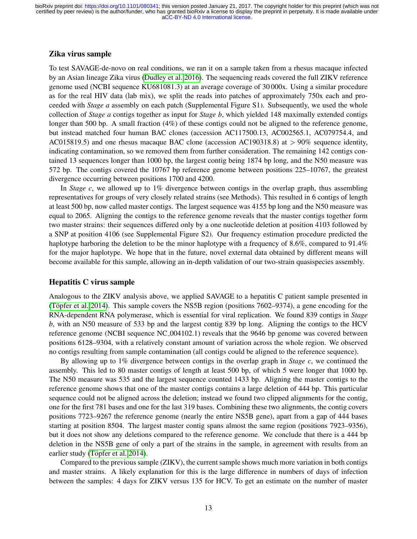### Zika virus sample

To test SAVAGE-de-novo on real conditions, we ran it on a sample taken from a rhesus macaque infected by an Asian lineage Zika virus [\(Dudley et al. 2016\)](#page-21-16). The sequencing reads covered the full ZIKV reference genome used (NCBI sequence KU681081.3) at an average coverage of 30 000x. Using a similar procedure as for the real HIV data (lab mix), we split the reads into patches of approximately 750x each and proceeded with *Stage a* assembly on each patch (Supplemental Figure [S1\)](#page-0-0). Subsequently, we used the whole collection of *Stage a* contigs together as input for *Stage b*, which yielded 148 maximally extended contigs longer than 500 bp. A small fraction (4%) of these contigs could not be aligned to the reference genome, but instead matched four human BAC clones (accession AC117500.13, AC002565.1, AC079754.4, and AC015819.5) and one rhesus macaque BAC clone (accession AC190318.8) at > 90% sequence identity, indicating contamination, so we removed them from further consideration. The remaining 142 contigs contained 13 sequences longer than 1000 bp, the largest contig being 1874 bp long, and the N50 measure was 572 bp. The contigs covered the 10767 bp reference genome between positions 225–10767, the greatest divergence occurring between positions 1700 and 4200.

In *Stage c*, we allowed up to 1% divergence between contigs in the overlap graph, thus assembling representatives for groups of very closely related strains (see Methods). This resulted in 6 contigs of length at least 500 bp, now called master contigs. The largest sequence was 4155 bp long and the N50 measure was equal to 2065. Aligning the contigs to the reference genome reveals that the master contigs together form two master strains: their sequences differed only by a one nucleotide deletion at position 4103 followed by a SNP at position 4106 (see Supplemental Figure [S2\)](#page-0-0). Our frequency estimation procedure predicted the haplotype harboring the deletion to be the minor haplotype with a frequency of 8.6%, compared to 91.4% for the major haplotype. We hope that in the future, novel external data obtained by different means will become available for this sample, allowing an in-depth validation of our two-strain quasispecies assembly.

#### Hepatitis C virus sample

Analogous to the ZIKV analysis above, we applied SAVAGE to a hepatitis C patient sample presented in (Töpfer et al. 2014). This sample covers the NS5B region (positions  $7602-9374$ ), a gene encoding for the RNA-dependent RNA polymerase, which is essential for viral replication. We found 839 contigs in *Stage b*, with an N50 measure of 533 bp and the largest contig 839 bp long. Aligning the contigs to the HCV reference genome (NCBI sequence NC<sub>-004102.1</sub>) reveals that the 9646 bp genome was covered between positions 6128–9304, with a relatively constant amount of variation across the whole region. We observed no contigs resulting from sample contamination (all contigs could be aligned to the reference sequence).

By allowing up to 1% divergence between contigs in the overlap graph in *Stage c*, we continued the assembly. This led to 80 master contigs of length at least 500 bp, of which 5 were longer that 1000 bp. The N50 measure was 535 and the largest sequence counted 1433 bp. Aligning the master contigs to the reference genome shows that one of the master contigs contains a large deletion of 444 bp. This particular sequence could not be aligned across the deletion; instead we found two clipped alignments for the contig, one for the first 781 bases and one for the last 319 bases. Combining these two alignments, the contig covers positions 7723–9267 the reference genome (nearly the entire NS5B gene), apart from a gap of 444 bases starting at position 8504. The largest master contig spans almost the same region (positions 7923–9356), but it does not show any deletions compared to the reference genome. We conclude that there is a 444 bp deletion in the NS5B gene of only a part of the strains in the sample, in agreement with results from an earlier study (Töpfer et al. 2014).

Compared to the previous sample (ZIKV), the current sample shows much more variation in both contigs and master strains. A likely explanation for this is the large difference in numbers of days of infection between the samples: 4 days for ZIKV versus 135 for HCV. To get an estimate on the number of master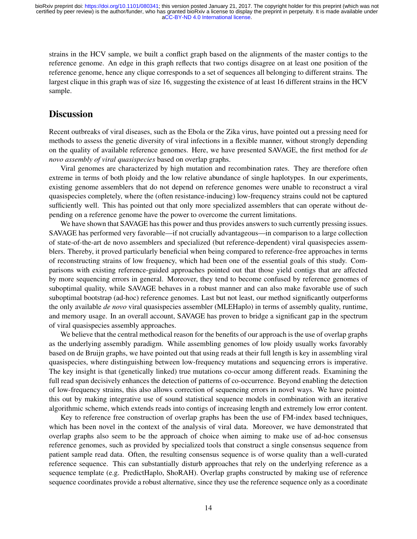strains in the HCV sample, we built a conflict graph based on the alignments of the master contigs to the reference genome. An edge in this graph reflects that two contigs disagree on at least one position of the reference genome, hence any clique corresponds to a set of sequences all belonging to different strains. The largest clique in this graph was of size 16, suggesting the existence of at least 16 different strains in the HCV sample.

## **Discussion**

Recent outbreaks of viral diseases, such as the Ebola or the Zika virus, have pointed out a pressing need for methods to assess the genetic diversity of viral infections in a flexible manner, without strongly depending on the quality of available reference genomes. Here, we have presented SAVAGE, the first method for *de novo assembly of viral quasispecies* based on overlap graphs.

Viral genomes are characterized by high mutation and recombination rates. They are therefore often extreme in terms of both ploidy and the low relative abundance of single haplotypes. In our experiments, existing genome assemblers that do not depend on reference genomes were unable to reconstruct a viral quasispecies completely, where the (often resistance-inducing) low-frequency strains could not be captured sufficiently well. This has pointed out that only more specialized assemblers that can operate without depending on a reference genome have the power to overcome the current limitations.

We have shown that SAVAGE has this power and thus provides answers to such currently pressing issues. SAVAGE has performed very favorable—if not crucially advantageous—in comparison to a large collection of state-of-the-art de novo assemblers and specialized (but reference-dependent) viral quasispecies assemblers. Thereby, it proved particularly beneficial when being compared to reference-free approaches in terms of reconstructing strains of low frequency, which had been one of the essential goals of this study. Comparisons with existing reference-guided approaches pointed out that those yield contigs that are affected by more sequencing errors in general. Moreover, they tend to become confused by reference genomes of suboptimal quality, while SAVAGE behaves in a robust manner and can also make favorable use of such suboptimal bootstrap (ad-hoc) reference genomes. Last but not least, our method significantly outperforms the only available *de novo* viral quasispecies assembler (MLEHaplo) in terms of assembly quality, runtime, and memory usage. In an overall account, SAVAGE has proven to bridge a significant gap in the spectrum of viral quasispecies assembly approaches.

We believe that the central methodical reason for the benefits of our approach is the use of overlap graphs as the underlying assembly paradigm. While assembling genomes of low ploidy usually works favorably based on de Bruijn graphs, we have pointed out that using reads at their full length is key in assembling viral quasispecies, where distinguishing between low-frequency mutations and sequencing errors is imperative. The key insight is that (genetically linked) true mutations co-occur among different reads. Examining the full read span decisively enhances the detection of patterns of co-occurrence. Beyond enabling the detection of low-frequency strains, this also allows correction of sequencing errors in novel ways. We have pointed this out by making integrative use of sound statistical sequence models in combination with an iterative algorithmic scheme, which extends reads into contigs of increasing length and extremely low error content.

Key to reference free construction of overlap graphs has been the use of FM-index based techniques, which has been novel in the context of the analysis of viral data. Moreover, we have demonstrated that overlap graphs also seem to be the approach of choice when aiming to make use of ad-hoc consensus reference genomes, such as provided by specialized tools that construct a single consensus sequence from patient sample read data. Often, the resulting consensus sequence is of worse quality than a well-curated reference sequence. This can substantially disturb approaches that rely on the underlying reference as a sequence template (e.g. PredictHaplo, ShoRAH). Overlap graphs constructed by making use of reference sequence coordinates provide a robust alternative, since they use the reference sequence only as a coordinate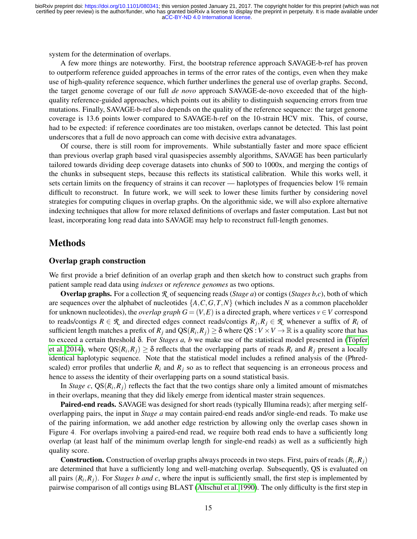system for the determination of overlaps.

A few more things are noteworthy. First, the bootstrap reference approach SAVAGE-b-ref has proven to outperform reference guided approaches in terms of the error rates of the contigs, even when they make use of high-quality reference sequence, which further underlines the general use of overlap graphs. Second, the target genome coverage of our full *de novo* approach SAVAGE-de-novo exceeded that of the highquality reference-guided approaches, which points out its ability to distinguish sequencing errors from true mutations. Finally, SAVAGE-b-ref also depends on the quality of the reference sequence: the target genome coverage is 13.6 points lower compared to SAVAGE-h-ref on the 10-strain HCV mix. This, of course, had to be expected: if reference coordinates are too mistaken, overlaps cannot be detected. This last point underscores that a full de novo approach can come with decisive extra advanatages.

Of course, there is still room for improvements. While substantially faster and more space efficient than previous overlap graph based viral quasispecies assembly algorithms, SAVAGE has been particularly tailored towards dividing deep coverage datasets into chunks of 500 to 1000x, and merging the contigs of the chunks in subsequent steps, because this reflects its statistical calibration. While this works well, it sets certain limits on the frequency of strains it can recover — haplotypes of frequencies below 1% remain difficult to reconstruct. In future work, we will seek to lower these limits further by considering novel strategies for computing cliques in overlap graphs. On the algorithmic side, we will also explore alternative indexing techniques that allow for more relaxed definitions of overlaps and faster computation. Last but not least, incorporating long read data into SAVAGE may help to reconstruct full-length genomes.

### Methods

#### Overlap graph construction

We first provide a brief definition of an overlap graph and then sketch how to construct such graphs from patient sample read data using *indexes* or *reference genomes* as two options.

Overlap graphs. For a collection *R* of sequencing reads (*Stage a*) or contigs (*Stages b,c*), both of which are sequences over the alphabet of nucleotides {*A*,*C*,*G*,*T*,*N*} (which includes *N* as a common placeholder for unknown nucleotides), the *overlap graph*  $G = (V, E)$  is a directed graph, where vertices  $v \in V$  correspond to reads/contigs  $R \in \mathcal{R}$  and directed edges connect reads/contigs  $R_j, R_j \in \mathcal{R}$  whenever a suffix of  $R_i$  of sufficient length matches a prefix of  $R_j$  and  $QS(R_i, R_j) \ge \delta$  where  $QS: V \times V \to \mathbb{R}$  is a quality score that has to exceed a certain threshold  $\delta$ . For *Stages a, b* we make use of the statistical model presented in (Töpfer [et al. 2014\)](#page-21-7), where  $QS(R_i, R_j) \geq \delta$  reflects that the overlapping parts of reads  $R_i$  and  $R_j$  present a locally identical haplotypic sequence. Note that the statistical model includes a refined analysis of the (Phredscaled) error profiles that underlie  $R_i$  and  $R_j$  so as to reflect that sequencing is an erroneous process and hence to assess the identity of their overlapping parts on a sound statistical basis.

In *Stage c*,  $QS(R_i, R_j)$  reflects the fact that the two contigs share only a limited amount of mismatches in their overlaps, meaning that they did likely emerge from identical master strain sequences.

Paired-end reads. SAVAGE was designed for short reads (typically Illumina reads); after merging selfoverlapping pairs, the input in *Stage a* may contain paired-end reads and/or single-end reads. To make use of the pairing information, we add another edge restriction by allowing only the overlap cases shown in Figure [4.](#page-16-0) For overlaps involving a paired-end read, we require both read ends to have a sufficiently long overlap (at least half of the minimum overlap length for single-end reads) as well as a sufficiently high quality score.

**Construction.** Construction of overlap graphs always proceeds in two steps. First, pairs of reads  $(R_i, R_j)$ are determined that have a sufficiently long and well-matching overlap. Subsequently, QS is evaluated on all pairs  $(R_i, R_j)$ . For *Stages b and c*, where the input is sufficiently small, the first step is implemented by pairwise comparison of all contigs using BLAST [\(Altschul et al. 1990\)](#page-21-23). The only difficulty is the first step in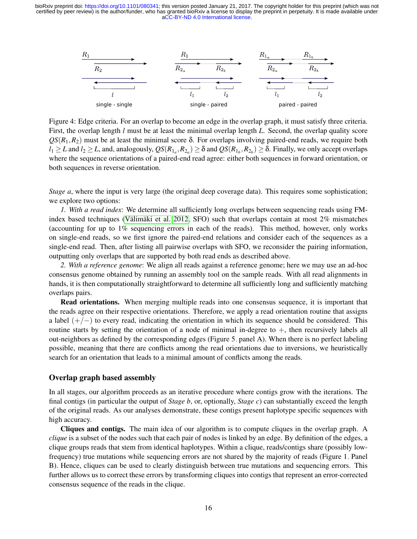<span id="page-16-0"></span>

Figure 4: Edge criteria. For an overlap to become an edge in the overlap graph, it must satisfy three criteria. First, the overlap length *l* must be at least the minimal overlap length *L*. Second, the overlap quality score  $QS(R_1, R_2)$  must be at least the minimal score  $\delta$ . For overlaps involving paired-end reads, we require both  $l_1 \geq L$  and  $l_2 \geq L$ , and, analogously,  $QS(R_{1_a}, R_{2_a}) \geq \delta$  and  $QS(R_{1_b}, R_{2_b}) \geq \delta$ . Finally, we only accept overlaps where the sequence orientations of a paired-end read agree: either both sequences in forward orientation, or both sequences in reverse orientation.

*Stage a*, where the input is very large (the original deep coverage data). This requires some sophistication; we explore two options:

*1. With a read index*: We determine all sufficiently long overlaps between sequencing reads using FMindex based techniques (Välimäki et al. 2012, SFO) such that overlaps contain at most  $2\%$  mismatches (accounting for up to 1% sequencing errors in each of the reads). This method, however, only works on single-end reads, so we first ignore the paired-end relations and consider each of the sequences as a single-end read. Then, after listing all pairwise overlaps with SFO, we reconsider the pairing information, outputting only overlaps that are supported by both read ends as described above.

*2. With a reference genome*: We align all reads against a reference genome; here we may use an ad-hoc consensus genome obtained by running an assembly tool on the sample reads. With all read alignments in hands, it is then computationally straightforward to determine all sufficiently long and sufficiently matching overlaps pairs.

Read orientations. When merging multiple reads into one consensus sequence, it is important that the reads agree on their respective orientations. Therefore, we apply a read orientation routine that assigns a label  $(+/-)$  to every read, indicating the orientation in which its sequence should be considered. This routine starts by setting the orientation of a node of minimal in-degree to  $+$ , then recursively labels all out-neighbors as defined by the corresponding edges (Figure [5,](#page-18-0) panel A). When there is no perfect labeling possible, meaning that there are conflicts among the read orientations due to inversions, we heuristically search for an orientation that leads to a minimal amount of conflicts among the reads.

### Overlap graph based assembly

In all stages, our algorithm proceeds as an iterative procedure where contigs grow with the iterations. The final contigs (in particular the output of *Stage b*, or, optionally, *Stage c*) can substantially exceed the length of the original reads. As our analyses demonstrate, these contigs present haplotype specific sequences with high accuracy.

Cliques and contigs. The main idea of our algorithm is to compute cliques in the overlap graph. A *clique* is a subset of the nodes such that each pair of nodes is linked by an edge. By definition of the edges, a clique groups reads that stem from identical haplotypes. Within a clique, reads/contigs share (possibly lowfrequency) true mutations while sequencing errors are not shared by the majority of reads (Figure [1,](#page-4-0) Panel B). Hence, cliques can be used to clearly distinguish between true mutations and sequencing errors. This further allows us to correct these errors by transforming cliques into contigs that represent an error-corrected consensus sequence of the reads in the clique.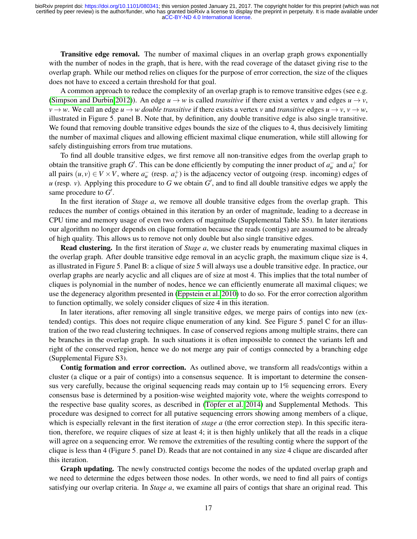Transitive edge removal. The number of maximal cliques in an overlap graph grows exponentially with the number of nodes in the graph, that is here, with the read coverage of the dataset giving rise to the overlap graph. While our method relies on cliques for the purpose of error correction, the size of the cliques does not have to exceed a certain threshold for that goal.

A common approach to reduce the complexity of an overlap graph is to remove transitive edges (see e.g. [\(Simpson and Durbin 2012\)](#page-21-18)). An edge  $u \rightarrow w$  is called *transitive* if there exist a vertex *v* and edges  $u \rightarrow v$ ,  $v \rightarrow w$ . We call an edge  $u \rightarrow w$  *double transitive* if there exists a vertex *v* and *transitive* edges  $u \rightarrow v$ ,  $v \rightarrow w$ , illustrated in Figure [5,](#page-18-0) panel B. Note that, by definition, any double transitive edge is also single transitive. We found that removing double transitive edges bounds the size of the cliques to 4, thus decisively limiting the number of maximal cliques and allowing efficient maximal clique enumeration, while still allowing for safely distinguishing errors from true mutations.

To find all double transitive edges, we first remove all non-transitive edges from the overlap graph to obtain the transitive graph *G*'. This can be done efficiently by computing the inner product of  $a^-_u$  and  $a^+_v$  for all pairs  $(u, v) \in V \times V$ , where  $a^-_u$  (resp.  $a^+_v$ ) is the adjacency vector of outgoing (resp. incoming) edges of  $u$  (resp.  $v$ ). Applying this procedure to  $G$  we obtain  $G'$ , and to find all double transitive edges we apply the same procedure to  $G'$ .

In the first iteration of *Stage a*, we remove all double transitive edges from the overlap graph. This reduces the number of contigs obtained in this iteration by an order of magnitude, leading to a decrease in CPU time and memory usage of even two orders of magnitude (Supplemental Table [S5\)](#page-0-0). In later iterations our algorithm no longer depends on clique formation because the reads (contigs) are assumed to be already of high quality. This allows us to remove not only double but also single transitive edges.

Read clustering. In the first iteration of *Stage a*, we cluster reads by enumerating maximal cliques in the overlap graph. After double transitive edge removal in an acyclic graph, the maximum clique size is 4, as illustrated in Figure [5,](#page-18-0) Panel B: a clique of size 5 will always use a double transitive edge. In practice, our overlap graphs are nearly acyclic and all cliques are of size at most 4. This implies that the total number of cliques is polynomial in the number of nodes, hence we can efficiently enumerate all maximal cliques; we use the degeneracy algorithm presented in [\(Eppstein et al. 2010\)](#page-21-24) to do so. For the error correction algorithm to function optimally, we solely consider cliques of size 4 in this iteration.

In later iterations, after removing all single transitive edges, we merge pairs of contigs into new (extended) contigs. This does not require clique enumeration of any kind. See Figure [5,](#page-18-0) panel C for an illustration of the two read clustering techniques. In case of conserved regions among multiple strains, there can be branches in the overlap graph. In such situations it is often impossible to connect the variants left and right of the conserved region, hence we do not merge any pair of contigs connected by a branching edge (Supplemental Figure [S3\)](#page-0-0).

Contig formation and error correction. As outlined above, we transform all reads/contigs within a cluster (a clique or a pair of contigs) into a consensus sequence. It is important to determine the consensus very carefully, because the original sequencing reads may contain up to 1% sequencing errors. Every consensus base is determined by a position-wise weighted majority vote, where the weights correspond to the respective base quality scores, as described in (Töpfer et al. 2014) and Supplemental Methods. This procedure was designed to correct for all putative sequencing errors showing among members of a clique, which is especially relevant in the first iteration of *stage a* (the error correction step). In this specific iteration, therefore, we require cliques of size at least 4; it is then highly unlikely that all the reads in a clique will agree on a sequencing error. We remove the extremities of the resulting contig where the support of the clique is less than 4 (Figure [5,](#page-18-0) panel D). Reads that are not contained in any size 4 clique are discarded after this iteration.

Graph updating. The newly constructed contigs become the nodes of the updated overlap graph and we need to determine the edges between those nodes. In other words, we need to find all pairs of contigs satisfying our overlap criteria. In *Stage a*, we examine all pairs of contigs that share an original read. This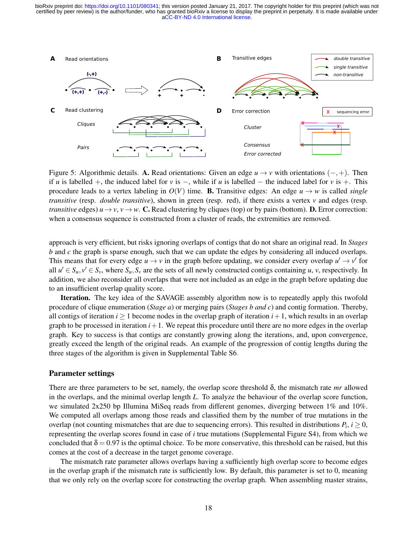<span id="page-18-0"></span>

Figure 5: Algorithmic details. A. Read orientations: Given an edge  $u \to v$  with orientations ( $-, +$ ). Then if *u* is labelled +, the induced label for *v* is −, while if *u* is labelled − the induced label for *v* is +. This procedure leads to a vertex labeling in  $O(V)$  time. **B.** Transitive edges: An edge  $u \rightarrow w$  is called *single transitive* (resp. *double transitive*), shown in green (resp. red), if there exists a vertex  $\nu$  and edges (resp. *transitive* edges)  $u \to v$ ,  $v \to w$ . C. Read clustering by cliques (top) or by pairs (bottom). D. Error correction: when a consensus sequence is constructed from a cluster of reads, the extremities are removed.

approach is very efficient, but risks ignoring overlaps of contigs that do not share an original read. In *Stages b* and *c* the graph is sparse enough, such that we can update the edges by considering all induced overlaps. This means that for every edge  $u \to v$  in the graph before updating, we consider every overlap  $u' \to v'$  for all  $u' \in S_u$ ,  $v' \in S_v$ , where  $S_u$ ,  $S_v$  are the sets of all newly constructed contigs containing *u*, *v*, respectively. In addition, we also reconsider all overlaps that were not included as an edge in the graph before updating due to an insufficient overlap quality score.

**Iteration.** The key idea of the SAVAGE assembly algorithm now is to repeatedly apply this twofold procedure of clique enumeration (*Stage a*) or merging pairs (*Stages b and c*) and contig formation. Thereby, all contigs of iteration  $i \ge 1$  become nodes in the overlap graph of iteration  $i+1$ , which results in an overlap graph to be processed in iteration  $i+1$ . We repeat this procedure until there are no more edges in the overlap graph. Key to success is that contigs are constantly growing along the iterations, and, upon convergence, greatly exceed the length of the original reads. An example of the progression of contig lengths during the three stages of the algorithm is given in Supplemental Table [S6.](#page-0-0)

#### Parameter settings

There are three parameters to be set, namely, the overlap score threshold δ, the mismatch rate *mr* allowed in the overlaps, and the minimal overlap length *L*. To analyze the behaviour of the overlap score function, we simulated 2x250 bp Illumina MiSeq reads from different genomes, diverging between 1% and 10%. We computed all overlaps among those reads and classified them by the number of true mutations in the overlap (not counting mismatches that are due to sequencing errors). This resulted in distributions  $P_i$ ,  $i \geq 0$ , representing the overlap scores found in case of *i* true mutations (Supplemental Figure [S4\)](#page-0-0), from which we concluded that  $\delta = 0.97$  is the optimal choice. To be more conservative, this threshold can be raised, but this comes at the cost of a decrease in the target genome coverage.

The mismatch rate parameter allows overlaps having a sufficiently high overlap score to become edges in the overlap graph if the mismatch rate is sufficiently low. By default, this parameter is set to 0, meaning that we only rely on the overlap score for constructing the overlap graph. When assembling master strains,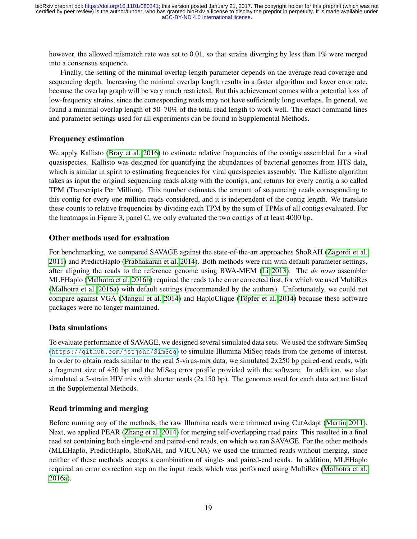however, the allowed mismatch rate was set to 0.01, so that strains diverging by less than 1% were merged into a consensus sequence.

Finally, the setting of the minimal overlap length parameter depends on the average read coverage and sequencing depth. Increasing the minimal overlap length results in a faster algorithm and lower error rate, because the overlap graph will be very much restricted. But this achievement comes with a potential loss of low-frequency strains, since the corresponding reads may not have sufficiently long overlaps. In general, we found a minimal overlap length of 50–70% of the total read length to work well. The exact command lines and parameter settings used for all experiments can be found in Supplemental Methods.

## Frequency estimation

We apply Kallisto [\(Bray et al. 2016\)](#page-21-22) to estimate relative frequencies of the contigs assembled for a viral quasispecies. Kallisto was designed for quantifying the abundances of bacterial genomes from HTS data, which is similar in spirit to estimating frequencies for viral quasispecies assembly. The Kallisto algorithm takes as input the original sequencing reads along with the contigs, and returns for every contig a so called TPM (Transcripts Per Million). This number estimates the amount of sequencing reads corresponding to this contig for every one million reads considered, and it is independent of the contig length. We translate these counts to relative frequencies by dividing each TPM by the sum of TPMs of all contigs evaluated. For the heatmaps in Figure [3,](#page-12-0) panel C, we only evaluated the two contigs of at least 4000 bp.

## Other methods used for evaluation

For benchmarking, we compared SAVAGE against the state-of-the-art approaches ShoRAH [\(Zagordi et al.](#page-22-0) [2011\)](#page-22-0) and PredictHaplo [\(Prabhakaran et al. 2014\)](#page-21-4). Both methods were run with default parameter settings, after aligning the reads to the reference genome using BWA-MEM [\(Li 2013\)](#page-21-25). The *de novo* assembler MLEHaplo [\(Malhotra et al. 2016b\)](#page-21-13) required the reads to be error corrected first, for which we used MultiRes [\(Malhotra et al. 2016a\)](#page-21-26) with default settings (recommended by the authors). Unfortunately, we could not compare against VGA [\(Mangul et al. 2014\)](#page-21-8) and HaploClique (Töpfer et al. 2014) because these software packages were no longer maintained.

## Data simulations

To evaluate performance of SAVAGE, we designed several simulated data sets. We used the software SimSeq (<https://github.com/jstjohn/SimSeq>) to simulate Illumina MiSeq reads from the genome of interest. In order to obtain reads similar to the real 5-virus-mix data, we simulated 2x250 bp paired-end reads, with a fragment size of 450 bp and the MiSeq error profile provided with the software. In addition, we also simulated a 5-strain HIV mix with shorter reads  $(2x150$  bp). The genomes used for each data set are listed in the Supplemental Methods.

## Read trimming and merging

Before running any of the methods, the raw Illumina reads were trimmed using CutAdapt [\(Martin 2011\)](#page-21-27). Next, we applied PEAR [\(Zhang et al. 2014\)](#page-22-5) for merging self-overlapping read pairs. This resulted in a final read set containing both single-end and paired-end reads, on which we ran SAVAGE. For the other methods (MLEHaplo, PredictHaplo, ShoRAH, and VICUNA) we used the trimmed reads without merging, since neither of these methods accepts a combination of single- and paired-end reads. In addition, MLEHaplo required an error correction step on the input reads which was performed using MultiRes [\(Malhotra et al.](#page-21-26) [2016a\)](#page-21-26).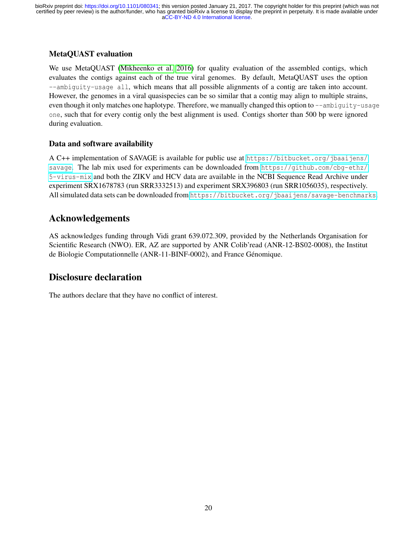## MetaQUAST evaluation

We use MetaQUAST [\(Mikheenko et al. 2016\)](#page-21-17) for quality evaluation of the assembled contigs, which evaluates the contigs against each of the true viral genomes. By default, MetaQUAST uses the option --ambiguity-usage all, which means that all possible alignments of a contig are taken into account. However, the genomes in a viral quasispecies can be so similar that a contig may align to multiple strains, even though it only matches one haplotype. Therefore, we manually changed this option to --ambiguity-usage one, such that for every contig only the best alignment is used. Contigs shorter than 500 bp were ignored during evaluation.

## Data and software availability

A C++ implementation of SAVAGE is available for public use at [https://bitbucket.org/jbaaijens/](https://bitbucket.org/jbaaijens/savage) [savage](https://bitbucket.org/jbaaijens/savage). The lab mix used for experiments can be downloaded from [https://github.com/cbg-ethz/](https://github.com/cbg-ethz/5-virus-mix) [5-virus-mix](https://github.com/cbg-ethz/5-virus-mix) and both the ZIKV and HCV data are available in the NCBI Sequence Read Archive under experiment SRX1678783 (run SRR3332513) and experiment SRX396803 (run SRR1056035), respectively. All simulated data sets can be downloaded from <https://bitbucket.org/jbaaijens/savage-benchmarks>.

# Acknowledgements

AS acknowledges funding through Vidi grant 639.072.309, provided by the Netherlands Organisation for Scientific Research (NWO). ER, AZ are supported by ANR Colib'read (ANR-12-BS02-0008), the Institut de Biologie Computationnelle (ANR-11-BINF-0002), and France Génomique.

# Disclosure declaration

The authors declare that they have no conflict of interest.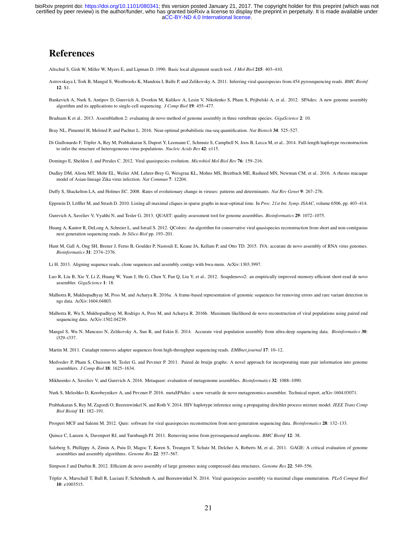# References

<span id="page-21-23"></span>Altschul S, Gish W, Miller W, Myers E, and Lipman D. 1990. Basic local alignment search tool. *J Mol Biol* 215: 403–410.

- <span id="page-21-6"></span>Astrovskaya I, Tork B, Mangul S, Westbrooks K, Mandoiu I, Balfe P, and Zelikovsky A. 2011. Inferring viral quasispecies from 454 pyrosequencing reads. *BMC Bioinf* 12: S1.
- <span id="page-21-20"></span>Bankevich A, Nurk S, Antipov D, Gurevich A, Dvorkin M, Kulikov A, Lesin V, Nikolenko S, Pham S, Prijbelski A, et al.. 2012. SPAdes: A new genome assembly algorithm and its applications to single-cell sequencing. *J Comp Biol* 19: 455–477.

<span id="page-21-9"></span>Bradnam K et al.. 2013. Assemblathon 2: evaluating de novo method of genome assembly in three vertebrate species. *GigaScience* 2: 10.

- <span id="page-21-22"></span>Bray NL, Pimentel H, Melsted P, and Pachter L. 2016. Near-optimal probabilistic rna-seq quantification. *Nat Biotech* 34: 525–527.
- <span id="page-21-15"></span>Di Giallonardo F, Töpfer A, Rey M, Prabhakaran S, Duport Y, Leemann C, Schmutz S, Campbell N, Joos B, Lecca M, et al., 2014. Full-length haplotype reconstruction to infer the structure of heterogeneous virus populations. *Nucleic Acids Res* 42: e115.

<span id="page-21-0"></span>Domingo E, Sheldon J, and Perales C. 2012. Viral quasispecies evolution. *Microbiol Mol Biol Rev* 76: 159–216.

- <span id="page-21-16"></span>Dudley DM, Aliota MT, Mohr EL, Weiler AM, Lehrer-Brey G, Weisgrau KL, Mohns MS, Breitbach ME, Rasheed MN, Newman CM, et al.. 2016. A rhesus macaque model of Asian-lineage Zika virus infection. *Nat Commun* 7: 12204.
- <span id="page-21-1"></span>Duffy S, Shackelton LA, and Holmes EC. 2008. Rates of evolutionary change in viruses: patterns and determinants. *Nat Rev Genet* 9: 267–276.

<span id="page-21-24"></span>Eppstein D, Löffler M, and Strash D. 2010. Listing all maximal cliques in sparse graphs in near-optimal time. In Proc. 21st Int. Symp. ISAAC, volume 6506, pp. 403-414.

- <span id="page-21-10"></span>Gurevich A, Saveliev V, Vyahhi N, and Tesler G. 2013. QUAST: quality assessment tool for genome assemblies. *Bioinformatics* 29: 1072–1075.
- <span id="page-21-2"></span>Huang A, Kantor R, DeLong A, Schreier L, and Istrail S. 2012. QColors: An algorithm for conservative viral quasispecies reconstruction from short and non-contiguous next generation sequencing reads. *In Silico Biol* pp. 193–201.
- <span id="page-21-12"></span>Hunt M, Gall A, Ong SH, Brener J, Ferns B, Goulder P, Nastouli E, Keane JA, Kellam P, and Otto TD. 2015. IVA: accurate de novo assembly of RNA virus genomes. *Bioinformatics* 31: 2374–2376.

<span id="page-21-25"></span>Li H. 2013. Aligning sequence reads, clone sequences and assembly contigs with bwa-mem. ArXiv:1303.3997.

- <span id="page-21-19"></span>Luo R, Liu B, Xie Y, Li Z, Huang W, Yuan J, He G, Chen Y, Pan Q, Liu Y, et al.. 2012. Soapdenovo2: an empirically improved memory-efficient short-read de novo assembler. *GigaScience* 1: 18.
- <span id="page-21-26"></span>Malhotra R, Mukhopadhyay M, Poss M, and Acharya R, 2016a. A frame-based representation of genomic sequences for removing errors and rare variant detection in ngs data. ArXiv:1604.04803.
- <span id="page-21-13"></span>Malhotra R, Wu S, Mukhopadhyay M, Rodrigo A, Poss M, and Acharya R. 2016b. Maximum likelihood de novo reconstruction of viral populations using paired end sequencing data. ArXiv:1502.04239.
- <span id="page-21-8"></span>Mangul S, Wu N, Mancuso N, Zelikovsky A, Sun R, and Eskin E. 2014. Accurate viral population assembly from ultra-deep sequencing data. *Bioinformatics* 30: i329–i337.

<span id="page-21-27"></span>Martin M. 2011. Cutadapt removes adapter sequences from high-throughput sequencing reads. *EMBnet.journal* 17: 10–12.

<span id="page-21-14"></span>Medvedev P, Pham S, Chaisson M, Tesler G, and Pevzner P. 2011. Paired de bruijn graphs: A novel approach for incorporating mate pair information into genome assemblers. *J Comp Biol* 18: 1625–1634.

<span id="page-21-17"></span>Mikheenko A, Saveliev V, and Gurevich A. 2016. Metaquast: evaluation of metagenome assemblies. *Bioinformatics* 32: 1088–1090.

- <span id="page-21-21"></span>Nurk S, Meleshko D, Korobeynikov A, and Pevzner P. 2016. metaSPAdes: a new versatile de novo metagenomics assembler. Technical report, arXiv:1604.03071.
- <span id="page-21-4"></span>Prabhakaran S, Rey M, Zagordi O, Beerenwinkel N, and Roth V. 2014. HIV haplotype inference using a propagating dirichlet process mixture model. *IEEE Trans Comp Biol Bioinf* 11: 182–191.

<span id="page-21-5"></span>Prosperi MCF and Salemi M. 2012. Qure: software for viral quasispecies reconstruction from next-generation sequencing data. *Bioinformatics* 28: 132–133.

<span id="page-21-3"></span>Quince C, Lanzen A, Davenport RJ, and Turnbaugh PJ. 2011. Removing noise from pyrosequenced amplicons. *BMC Bioinf* 12: 38.

<span id="page-21-11"></span>Salzberg S, Phillippy A, Zimin A, Puiu D, Magoc T, Koren S, Treangen T, Schatz M, Delcher A, Roberts M, et al.. 2011. GAGE: A critical evaluation of genome assemblies and assembly algorithms. *Genome Res* 22: 557–567.

<span id="page-21-18"></span>Simpson J and Durbin R. 2012. Efficient de novo assembly of large genomes using compressed data structures. *Genome Res* 22: 549–556.

<span id="page-21-7"></span>Töpfer A, Marschall T, Bull R, Luciani F, Schönhuth A, and Beerenwinkel N, 2014. Viral quasispecies assembly via maximal clique enumeration. *PLoS Comput Biol* 10: e1003515.